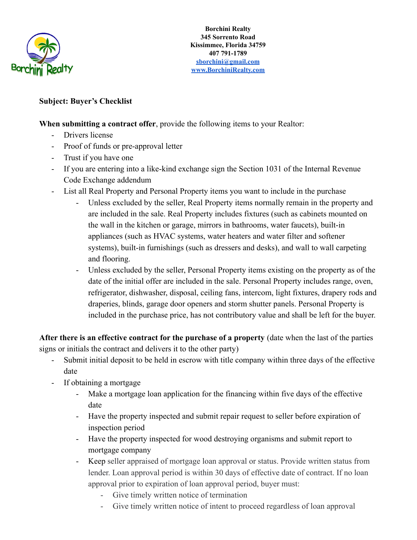

## **Subject: Buyer's Checklist**

**When submitting a contract offer**, provide the following items to your Realtor:

- Drivers license
- Proof of funds or pre-approval letter
- Trust if you have one
- If you are entering into a like-kind exchange sign the Section 1031 of the Internal Revenue Code Exchange addendum
- List all Real Property and Personal Property items you want to include in the purchase
	- Unless excluded by the seller, Real Property items normally remain in the property and are included in the sale. Real Property includes fixtures (such as cabinets mounted on the wall in the kitchen or garage, mirrors in bathrooms, water faucets), built-in appliances (such as HVAC systems, water heaters and water filter and softener systems), built-in furnishings (such as dressers and desks), and wall to wall carpeting and flooring.
	- Unless excluded by the seller, Personal Property items existing on the property as of the date of the initial offer are included in the sale. Personal Property includes range, oven, refrigerator, dishwasher, disposal, ceiling fans, intercom, light fixtures, drapery rods and draperies, blinds, garage door openers and storm shutter panels. Personal Property is included in the purchase price, has not contributory value and shall be left for the buyer.

**After there is an effective contract for the purchase of a property** (date when the last of the parties signs or initials the contract and delivers it to the other party)

- Submit initial deposit to be held in escrow with title company within three days of the effective date
- If obtaining a mortgage
	- Make a mortgage loan application for the financing within five days of the effective date
	- Have the property inspected and submit repair request to seller before expiration of inspection period
	- Have the property inspected for wood destroying organisms and submit report to mortgage company
	- Keep seller appraised of mortgage loan approval or status. Provide written status from lender. Loan approval period is within 30 days of effective date of contract. If no loan approval prior to expiration of loan approval period, buyer must:
		- Give timely written notice of termination
		- Give timely written notice of intent to proceed regardless of loan approval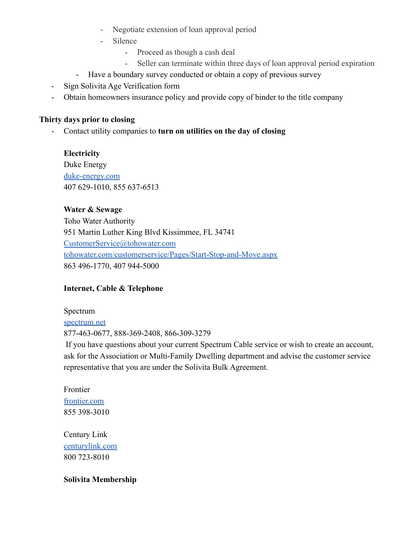- Negotiate extension of loan approval period
- Silence
	- Proceed as though a cash deal
	- Seller can terminate within three days of loan approval period expiration
- Have a boundary survey conducted or obtain a copy of previous survey
- Sign Solivita Age Verification form
- Obtain homeowners insurance policy and provide copy of binder to the title company

### **Thirty days prior to closing**

- Contact utility companies to **turn on utilities on the day of closing**

**Electricity** Duke Energy [duke-energy.com](http://duke-energy.com/) 407 629-1010, 855 637-6513

## **Water & Sewage**

Toho Water Authority 951 Martin Luther King Blvd Kissimmee, FL 34741 [CustomerService@tohowater.com](mailto:CustomerService@tohowater.com) [tohowater.com/customerservice/Pages/Start-Stop-and-Move.aspx](https://www.tohowater.com/customerservice/Pages/Start-Stop-and-Move.aspx) 863 496-1770, 407 944-5000

# **Internet, Cable & Telephone**

Spectrum [spectrum.net](https://www.spectrum.net) 877-463-0677, 888-369-2408, 866-309-3279

If you have questions about your current Spectrum Cable service or wish to create an account, ask for the Association or Multi-Family Dwelling department and advise the customer service representative that you are under the Solivita Bulk Agreement.

Frontier [frontier.com](https://frontier.com) 855 398-3010

Century Link [centurylink.com](http://www.centurylink.com) 800 723-8010

#### **Solivita Membership**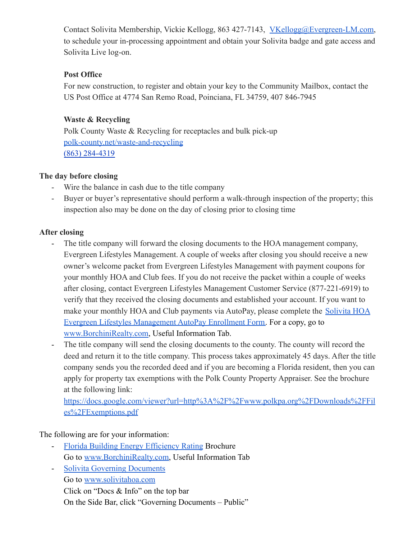Contact Solivita Membership, Vickie Kellogg, 863 427-7143, [VKellogg@Evergreen-LM.com,](mailto:VKellogg@Evergreen-LM.com) to schedule your in-processing appointment and obtain your Solivita badge and gate access and Solivita Live log-on.

#### **Post Office**

For new construction, to register and obtain your key to the Community Mailbox, contact the US Post Office at 4774 San Remo Road, Poinciana, FL 34759, 407 846-7945

## **Waste & Recycling**

Polk County Waste & Recycling for receptacles and bulk pick-up [polk-county.net/waste-and-recycling](https://www.polk-county.net/waste-and-recycling) [\(863\) 284-4319](https://hangouts.google.com/?action=chat&pn=%2B18632844319&hl=en&authuser=0)

## **The day before closing**

- Wire the balance in cash due to the title company
- Buyer or buyer's representative should perform a walk-through inspection of the property; this inspection also may be done on the day of closing prior to closing time

# **After closing**

- The title company will forward the closing documents to the HOA management company, Evergreen Lifestyles Management. A couple of weeks after closing you should receive a new owner's welcome packet from Evergreen Lifestyles Management with payment coupons for your monthly HOA and Club fees. If you do not receive the packet within a couple of weeks after closing, contact Evergreen Lifestyles Management Customer Service (877-221-6919) to verify that they received the closing documents and established your account. If you want to make your monthly HOA and Club payments via AutoPay, please complete the [Solivita HOA](http://www.borchinirealty.com/uploads/Evergreen_Lifestyles_Management_AutoPay_Enrollment_Form.pdf) [Evergreen Lifestyles Management AutoPay Enrollment Form.](http://www.borchinirealty.com/uploads/Evergreen_Lifestyles_Management_AutoPay_Enrollment_Form.pdf) For a copy, go to [www.BorchiniRealty.com](http://www.borchinirealty.com), Useful Information Tab.
- The title company will send the closing documents to the county. The county will record the deed and return it to the title company. This process takes approximately 45 days. After the title company sends you the recorded deed and if you are becoming a Florida resident, then you can apply for property tax exemptions with the Polk County Property Appraiser. See the brochure at the following link:

[https://docs.google.com/viewer?url=http%3A%2F%2Fwww.polkpa.org%2FDownloads%2FFil](https://docs.google.com/viewer?url=http%3A%2F%2Fwww.polkpa.org%2FDownloads%2FFiles%2FExemptions.pdf) [es%2FExemptions.pdf](https://docs.google.com/viewer?url=http%3A%2F%2Fwww.polkpa.org%2FDownloads%2FFiles%2FExemptions.pdf)

The following are for your information:

- [Florida Building Energy Efficiency Rating](http://www.borchinirealty.com/uploads/Florida_Building_Energy_Efficiency_Rating_Act_Brochure.pdf) Brochure Go to [www.BorchiniRealty.com](http://www.borchinirealty.com), Useful Information Tab
- [Solivita Governing Documents](http://www.solivitahoa.com/ResourceCenter/23801/Documents) Go to [www.solivitahoa.com](http://www.solivitahoa.com/) Click on "Docs & Info" on the top bar On the Side Bar, click "Governing Documents – Public"